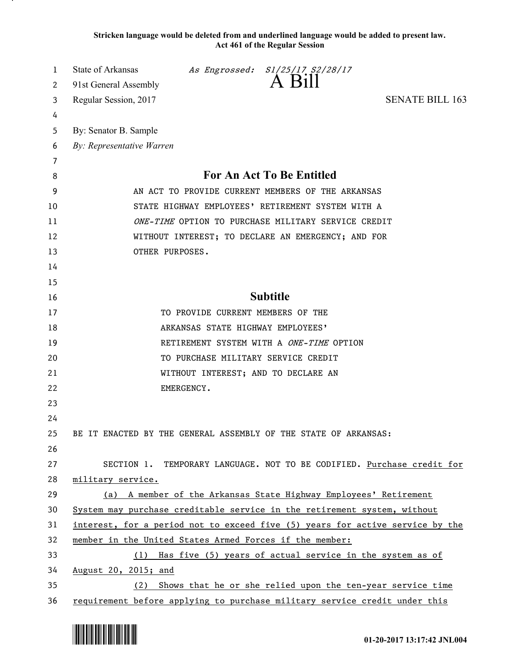**Stricken language would be deleted from and underlined language would be added to present law. Act 461 of the Regular Session**

| 1        | <b>State of Arkansas</b>                                                      |                                     | As Engrossed: S1/25/17 S2/28/17<br>A Bill |                                                                        |  |
|----------|-------------------------------------------------------------------------------|-------------------------------------|-------------------------------------------|------------------------------------------------------------------------|--|
| 2        | 91st General Assembly                                                         |                                     |                                           |                                                                        |  |
| 3        | Regular Session, 2017                                                         |                                     |                                           | <b>SENATE BILL 163</b>                                                 |  |
| 4        |                                                                               |                                     |                                           |                                                                        |  |
| 5        | By: Senator B. Sample                                                         |                                     |                                           |                                                                        |  |
| 6        | By: Representative Warren                                                     |                                     |                                           |                                                                        |  |
| 7        |                                                                               |                                     |                                           |                                                                        |  |
| 8        | For An Act To Be Entitled                                                     |                                     |                                           |                                                                        |  |
| 9        | AN ACT TO PROVIDE CURRENT MEMBERS OF THE ARKANSAS                             |                                     |                                           |                                                                        |  |
| 10       | STATE HIGHWAY EMPLOYEES' RETIREMENT SYSTEM WITH A                             |                                     |                                           |                                                                        |  |
| 11       | ONE-TIME OPTION TO PURCHASE MILITARY SERVICE CREDIT                           |                                     |                                           |                                                                        |  |
| 12       | WITHOUT INTEREST; TO DECLARE AN EMERGENCY; AND FOR<br>OTHER PURPOSES.         |                                     |                                           |                                                                        |  |
| 13       |                                                                               |                                     |                                           |                                                                        |  |
| 14<br>15 |                                                                               |                                     |                                           |                                                                        |  |
| 16       |                                                                               |                                     | <b>Subtitle</b>                           |                                                                        |  |
| 17       |                                                                               | TO PROVIDE CURRENT MEMBERS OF THE   |                                           |                                                                        |  |
| 18       |                                                                               | ARKANSAS STATE HIGHWAY EMPLOYEES'   |                                           |                                                                        |  |
| 19       |                                                                               |                                     | RETIREMENT SYSTEM WITH A ONE-TIME OPTION  |                                                                        |  |
| 20       |                                                                               | TO PURCHASE MILITARY SERVICE CREDIT |                                           |                                                                        |  |
| 21       |                                                                               | WITHOUT INTEREST; AND TO DECLARE AN |                                           |                                                                        |  |
| 22       |                                                                               | EMERGENCY.                          |                                           |                                                                        |  |
| 23       |                                                                               |                                     |                                           |                                                                        |  |
| 24       |                                                                               |                                     |                                           |                                                                        |  |
| 25       | BE IT ENACTED BY THE GENERAL ASSEMBLY OF THE STATE OF ARKANSAS:               |                                     |                                           |                                                                        |  |
| 26       |                                                                               |                                     |                                           |                                                                        |  |
| 27       |                                                                               |                                     |                                           | SECTION 1. TEMPORARY LANGUAGE. NOT TO BE CODIFIED. Purchase credit for |  |
| 28       | military service.                                                             |                                     |                                           |                                                                        |  |
| 29       | (a) A member of the Arkansas State Highway Employees' Retirement              |                                     |                                           |                                                                        |  |
| 30       | System may purchase creditable service in the retirement system, without      |                                     |                                           |                                                                        |  |
| 31       | interest, for a period not to exceed five (5) years for active service by the |                                     |                                           |                                                                        |  |
| 32       | member in the United States Armed Forces if the member:                       |                                     |                                           |                                                                        |  |
| 33       | (1) Has five (5) years of actual service in the system as of                  |                                     |                                           |                                                                        |  |
| 34       | August 20, 2015; and                                                          |                                     |                                           |                                                                        |  |
| 35       | Shows that he or she relied upon the ten-year service time<br>(2)             |                                     |                                           |                                                                        |  |
| 36       | requirement before applying to purchase military service credit under this    |                                     |                                           |                                                                        |  |